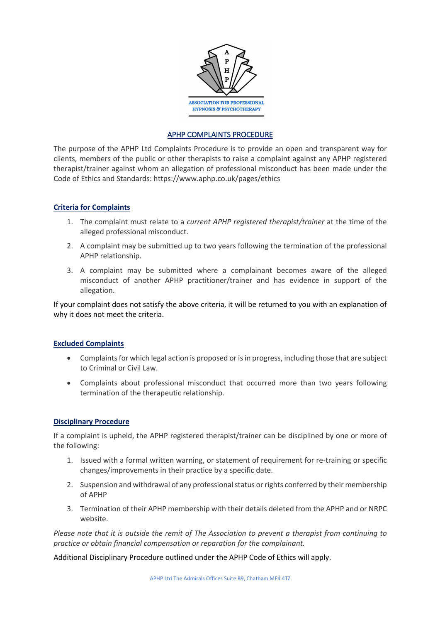

## APHP COMPLAINTS PROCEDURE

The purpose of the APHP Ltd Complaints Procedure is to provide an open and transparent way for clients, members of the public or other therapists to raise a complaint against any APHP registered therapist/trainer against whom an allegation of professional misconduct has been made under the Code of Ethics and Standards: https://www.aphp.co.uk/pages/ethics

## **Criteria for Complaints**

- 1. The complaint must relate to a *current APHP registered therapist/trainer* at the time of the alleged professional misconduct.
- 2. A complaint may be submitted up to two years following the termination of the professional APHP relationship.
- 3. A complaint may be submitted where a complainant becomes aware of the alleged misconduct of another APHP practitioner/trainer and has evidence in support of the allegation.

If your complaint does not satisfy the above criteria, it will be returned to you with an explanation of why it does not meet the criteria.

## **Excluded Complaints**

- Complaints for which legal action is proposed or is in progress, including those that are subject to Criminal or Civil Law.
- Complaints about professional misconduct that occurred more than two years following termination of the therapeutic relationship.

## **Disciplinary Procedure**

If a complaint is upheld, the APHP registered therapist/trainer can be disciplined by one or more of the following:

- 1. Issued with a formal written warning, or statement of requirement for re-training or specific changes/improvements in their practice by a specific date.
- 2. Suspension and withdrawal of any professional status or rights conferred by their membership of APHP
- 3. Termination of their APHP membership with their details deleted from the APHP and or NRPC website.

*Please note that it is outside the remit of The Association to prevent a therapist from continuing to practice or obtain financial compensation or reparation for the complainant.*

Additional Disciplinary Procedure outlined under the APHP Code of Ethics will apply.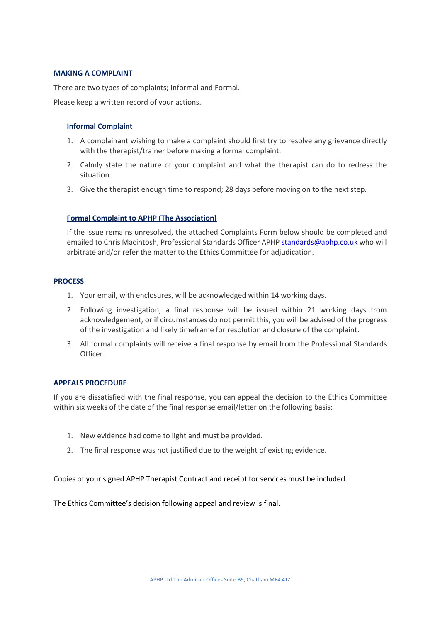## **MAKING A COMPLAINT**

There are two types of complaints; Informal and Formal. Please keep a written record of your actions.

# **Informal Complaint**

- 1. A complainant wishing to make a complaint should first try to resolve any grievance directly with the therapist/trainer before making a formal complaint.
- 2. Calmly state the nature of your complaint and what the therapist can do to redress the situation.
- 3. Give the therapist enough time to respond; 28 days before moving on to the next step.

### **Formal Complaint to APHP (The Association)**

If the issue remains unresolved, the attached Complaints Form below should be completed and emailed to Chris Macintosh, Professional Standards Officer APHP standards@aphp.co.uk who will arbitrate and/or refer the matter to the Ethics Committee for adjudication.

### **PROCESS**

- 1. Your email, with enclosures, will be acknowledged within 14 working days.
- 2. Following investigation, a final response will be issued within 21 working days from acknowledgement, or if circumstances do not permit this, you will be advised of the progress of the investigation and likely timeframe for resolution and closure of the complaint.
- 3. All formal complaints will receive a final response by email from the Professional Standards Officer.

#### **APPEALS PROCEDURE**

If you are dissatisfied with the final response, you can appeal the decision to the Ethics Committee within six weeks of the date of the final response email/letter on the following basis:

- 1. New evidence had come to light and must be provided.
- 2. The final response was not justified due to the weight of existing evidence.

Copies of your signed APHP Therapist Contract and receipt for services must be included.

The Ethics Committee's decision following appeal and review is final.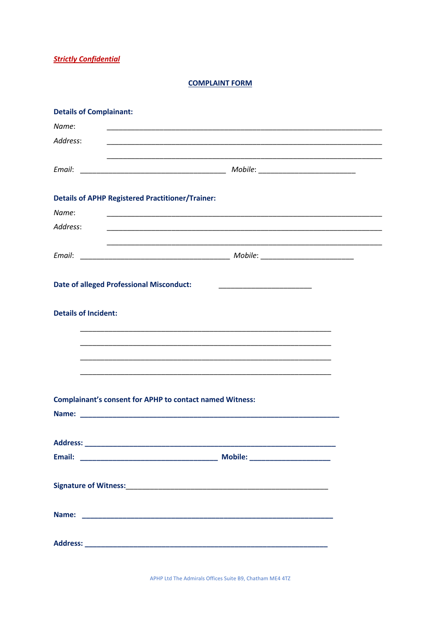**Strictly Confidential** 

**COMPLAINT FORM** 

| <b>Details of Complainant:</b>                                                                                                 |                                                                                                                       |  |
|--------------------------------------------------------------------------------------------------------------------------------|-----------------------------------------------------------------------------------------------------------------------|--|
| Name:<br><u> 1989 - Johann John Stone, markin film yn y brening yn y brening yn y brening yn y brening yn y brening yn y b</u> |                                                                                                                       |  |
| Address:                                                                                                                       | <u> 1989 - Johann Stoff, deutscher Stoff, der Stoff, der Stoff, der Stoff, der Stoff, der Stoff, der Stoff, der S</u> |  |
|                                                                                                                                |                                                                                                                       |  |
|                                                                                                                                |                                                                                                                       |  |
| <b>Details of APHP Registered Practitioner/Trainer:</b>                                                                        |                                                                                                                       |  |
| Name:                                                                                                                          |                                                                                                                       |  |
| Address:                                                                                                                       |                                                                                                                       |  |
|                                                                                                                                |                                                                                                                       |  |
| <b>Date of alleged Professional Misconduct:</b>                                                                                |                                                                                                                       |  |
| <b>Details of Incident:</b>                                                                                                    |                                                                                                                       |  |
|                                                                                                                                |                                                                                                                       |  |
|                                                                                                                                |                                                                                                                       |  |
|                                                                                                                                |                                                                                                                       |  |
| <b>Complainant's consent for APHP to contact named Witness:</b>                                                                |                                                                                                                       |  |
|                                                                                                                                |                                                                                                                       |  |
|                                                                                                                                |                                                                                                                       |  |
|                                                                                                                                |                                                                                                                       |  |
|                                                                                                                                |                                                                                                                       |  |
|                                                                                                                                |                                                                                                                       |  |
|                                                                                                                                |                                                                                                                       |  |
|                                                                                                                                |                                                                                                                       |  |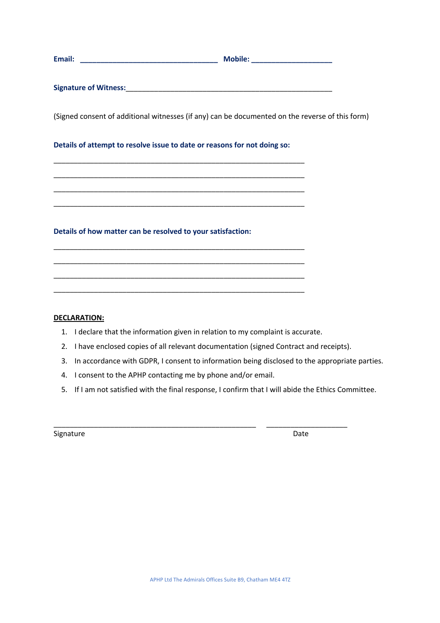| Email:                       | Mobile:                                                                                         |  |
|------------------------------|-------------------------------------------------------------------------------------------------|--|
| <b>Signature of Witness:</b> |                                                                                                 |  |
|                              | (Signed consent of additional witnesses (if any) can be documented on the reverse of this form) |  |

# **Details of attempt to resolve issue to date or reasons for not doing so:**

\_\_\_\_\_\_\_\_\_\_\_\_\_\_\_\_\_\_\_\_\_\_\_\_\_\_\_\_\_\_\_\_\_\_\_\_\_\_\_\_\_\_\_\_\_\_\_\_\_\_\_\_\_\_\_\_\_\_\_\_\_\_ \_\_\_\_\_\_\_\_\_\_\_\_\_\_\_\_\_\_\_\_\_\_\_\_\_\_\_\_\_\_\_\_\_\_\_\_\_\_\_\_\_\_\_\_\_\_\_\_\_\_\_\_\_\_\_\_\_\_\_\_\_\_ \_\_\_\_\_\_\_\_\_\_\_\_\_\_\_\_\_\_\_\_\_\_\_\_\_\_\_\_\_\_\_\_\_\_\_\_\_\_\_\_\_\_\_\_\_\_\_\_\_\_\_\_\_\_\_\_\_\_\_\_\_\_ \_\_\_\_\_\_\_\_\_\_\_\_\_\_\_\_\_\_\_\_\_\_\_\_\_\_\_\_\_\_\_\_\_\_\_\_\_\_\_\_\_\_\_\_\_\_\_\_\_\_\_\_\_\_\_\_\_\_\_\_\_\_

\_\_\_\_\_\_\_\_\_\_\_\_\_\_\_\_\_\_\_\_\_\_\_\_\_\_\_\_\_\_\_\_\_\_\_\_\_\_\_\_\_\_\_\_\_\_\_\_\_\_\_\_\_\_\_\_\_\_\_\_\_\_ \_\_\_\_\_\_\_\_\_\_\_\_\_\_\_\_\_\_\_\_\_\_\_\_\_\_\_\_\_\_\_\_\_\_\_\_\_\_\_\_\_\_\_\_\_\_\_\_\_\_\_\_\_\_\_\_\_\_\_\_\_\_ \_\_\_\_\_\_\_\_\_\_\_\_\_\_\_\_\_\_\_\_\_\_\_\_\_\_\_\_\_\_\_\_\_\_\_\_\_\_\_\_\_\_\_\_\_\_\_\_\_\_\_\_\_\_\_\_\_\_\_\_\_\_ \_\_\_\_\_\_\_\_\_\_\_\_\_\_\_\_\_\_\_\_\_\_\_\_\_\_\_\_\_\_\_\_\_\_\_\_\_\_\_\_\_\_\_\_\_\_\_\_\_\_\_\_\_\_\_\_\_\_\_\_\_\_

**Details of how matter can be resolved to your satisfaction:**

#### **DECLARATION:**

- 1. I declare that the information given in relation to my complaint is accurate.
- 2. I have enclosed copies of all relevant documentation (signed Contract and receipts).
- 3. In accordance with GDPR, I consent to information being disclosed to the appropriate parties.
- 4. I consent to the APHP contacting me by phone and/or email.
- 5. If I am not satisfied with the final response, I confirm that I will abide the Ethics Committee.

 $\overline{\phantom{a}}$  ,  $\overline{\phantom{a}}$  ,  $\overline{\phantom{a}}$  ,  $\overline{\phantom{a}}$  ,  $\overline{\phantom{a}}$  ,  $\overline{\phantom{a}}$  ,  $\overline{\phantom{a}}$  ,  $\overline{\phantom{a}}$  ,  $\overline{\phantom{a}}$  ,  $\overline{\phantom{a}}$  ,  $\overline{\phantom{a}}$  ,  $\overline{\phantom{a}}$  ,  $\overline{\phantom{a}}$  ,  $\overline{\phantom{a}}$  ,  $\overline{\phantom{a}}$  ,  $\overline{\phantom{a}}$ 

Signature Date